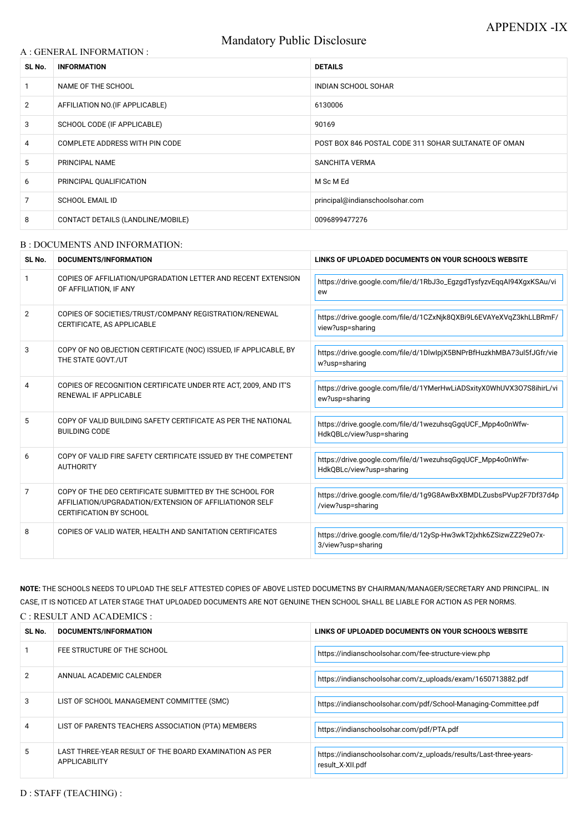# Mandatory Public Disclosure

### A : GENERAL INFORMATION :

| SL No.         | <b>INFORMATION</b>                | <b>DETAILS</b>                                       |  |
|----------------|-----------------------------------|------------------------------------------------------|--|
|                | NAME OF THE SCHOOL                | INDIAN SCHOOL SOHAR                                  |  |
| $\overline{2}$ | AFFILIATION NO. (IF APPLICABLE)   | 6130006                                              |  |
| 3              | SCHOOL CODE (IF APPLICABLE)       | 90169                                                |  |
| 4              | COMPLETE ADDRESS WITH PIN CODE    | POST BOX 846 POSTAL CODE 311 SOHAR SULTANATE OF OMAN |  |
| 5              | PRINCIPAL NAME                    | <b>SANCHITA VERMA</b>                                |  |
| 6              | PRINCIPAL QUALIFICATION           | M Sc M Ed                                            |  |
| 7              | <b>SCHOOL EMAIL ID</b>            | principal@indianschoolsohar.com                      |  |
| 8              | CONTACT DETAILS (LANDLINE/MOBILE) | 0096899477276                                        |  |

#### B : DOCUMENTS AND INFORMATION:

| SL No. | <b>DOCUMENTS/INFORMATION</b>                                                                                                                         | LINKS OF UPLOADED DOCUMENTS ON YOUR SCHOOL'S WEBSITE                                   |  |
|--------|------------------------------------------------------------------------------------------------------------------------------------------------------|----------------------------------------------------------------------------------------|--|
|        | COPIES OF AFFILIATION/UPGRADATION LETTER AND RECENT EXTENSION<br>OF AFFILIATION, IF ANY                                                              | https://drive.google.com/file/d/1RbJ3o_EgzgdTysfyzvEqqAl94XgxKSAu/vi<br>ew             |  |
| 2      | COPIES OF SOCIETIES/TRUST/COMPANY REGISTRATION/RENEWAL<br>CERTIFICATE, AS APPLICABLE                                                                 | https://drive.google.com/file/d/1CZxNjk8QXBi9L6EVAYeXVqZ3khLLBRmF/<br>view?usp=sharing |  |
| 3      | COPY OF NO OBJECTION CERTIFICATE (NOC) ISSUED, IF APPLICABLE, BY<br>THE STATE GOVT./UT                                                               | https://drive.google.com/file/d/1DlwlpjX5BNPrBfHuzkhMBA73ul5fJGfr/vie<br>w?usp=sharing |  |
| 4      | COPIES OF RECOGNITION CERTIFICATE UNDER RTE ACT, 2009, AND IT'S<br>RENEWAL IF APPLICABLE                                                             | https://drive.google.com/file/d/1YMerHwLiADSxityX0WhUVX307S8ihirL/vi<br>ew?usp=sharing |  |
| 5      | COPY OF VALID BUILDING SAFETY CERTIFICATE AS PER THE NATIONAL<br><b>BUILDING CODE</b>                                                                | https://drive.google.com/file/d/1wezuhsqGgqUCF_Mpp4o0nWfw-<br>HdkQBLc/view?usp=sharing |  |
| 6      | COPY OF VALID FIRE SAFETY CERTIFICATE ISSUED BY THE COMPETENT<br><b>AUTHORITY</b>                                                                    | https://drive.google.com/file/d/1wezuhsqGgqUCF_Mpp4o0nWfw-<br>HdkQBLc/view?usp=sharing |  |
| 7      | COPY OF THE DEO CERTIFICATE SUBMITTED BY THE SCHOOL FOR<br>AFFILIATION/UPGRADATION/EXTENSION OF AFFILIATIONOR SELF<br><b>CERTIFICATION BY SCHOOL</b> | https://drive.google.com/file/d/1g9G8AwBxXBMDLZusbsPVup2F7Df37d4p<br>/view?usp=sharing |  |
| 8      | COPIES OF VALID WATER, HEALTH AND SANITATION CERTIFICATES                                                                                            | https://drive.google.com/file/d/12ySp-Hw3wkT2jxhk6ZSizwZZ29e07x-<br>3/view?usp=sharing |  |

**NOTE:** THE SCHOOLS NEEDS TO UPLOAD THE SELF ATTESTED COPIES OF ABOVE LISTED DOCUMETNS BY CHAIRMAN/MANAGER/SECRETARY AND PRINCIPAL. IN CASE, IT IS NOTICED AT LATER STAGE THAT UPLOADED DOCUMENTS ARE NOT GENUINE THEN SCHOOL SHALL BE LIABLE FOR ACTION AS PER NORMS. C : RESULT AND ACADEMICS :

| SL No.        | DOCUMENTS/INFORMATION                                                          | LINKS OF UPLOADED DOCUMENTS ON YOUR SCHOOL'S WEBSITE                                  |
|---------------|--------------------------------------------------------------------------------|---------------------------------------------------------------------------------------|
|               | FEE STRUCTURE OF THE SCHOOL                                                    | https://indianschoolsohar.com/fee-structure-view.php                                  |
| $\mathcal{P}$ | ANNUAL ACADEMIC CALENDER                                                       | https://indianschoolsohar.com/z_uploads/exam/1650713882.pdf                           |
| 3             | LIST OF SCHOOL MANAGEMENT COMMITTEE (SMC)                                      | https://indianschoolsohar.com/pdf/School-Managing-Committee.pdf                       |
| 4             | LIST OF PARENTS TEACHERS ASSOCIATION (PTA) MEMBERS                             | https://indianschoolsohar.com/pdf/PTA.pdf                                             |
| 5.            | LAST THREE-YEAR RESULT OF THE BOARD EXAMINATION AS PER<br><b>APPLICABILITY</b> | https://indianschoolsohar.com/z_uploads/results/Last-three-years-<br>result_X-XII.pdf |

D : STAFF (TEACHING) :